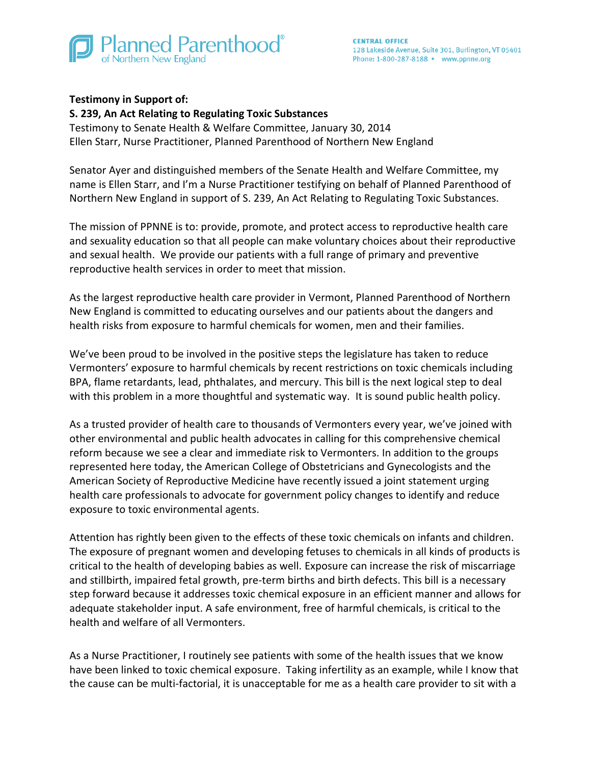

## **Testimony in Support of:**

## **S. 239, An Act Relating to Regulating Toxic Substances**

Testimony to Senate Health & Welfare Committee, January 30, 2014 Ellen Starr, Nurse Practitioner, Planned Parenthood of Northern New England

Senator Ayer and distinguished members of the Senate Health and Welfare Committee, my name is Ellen Starr, and I'm a Nurse Practitioner testifying on behalf of Planned Parenthood of Northern New England in support of S. 239, An Act Relating to Regulating Toxic Substances.

The mission of PPNNE is to: provide, promote, and protect access to reproductive health care and sexuality education so that all people can make voluntary choices about their reproductive and sexual health. We provide our patients with a full range of primary and preventive reproductive health services in order to meet that mission.

As the largest reproductive health care provider in Vermont, Planned Parenthood of Northern New England is committed to educating ourselves and our patients about the dangers and health risks from exposure to harmful chemicals for women, men and their families.

We've been proud to be involved in the positive steps the legislature has taken to reduce Vermonters' exposure to harmful chemicals by recent restrictions on toxic chemicals including BPA, flame retardants, lead, phthalates, and mercury. This bill is the next logical step to deal with this problem in a more thoughtful and systematic way. It is sound public health policy.

As a trusted provider of health care to thousands of Vermonters every year, we've joined with other environmental and public health advocates in calling for this comprehensive chemical reform because we see a clear and immediate risk to Vermonters. In addition to the groups represented here today, the American College of Obstetricians and Gynecologists and the American Society of Reproductive Medicine have recently issued a joint statement urging health care professionals to advocate for government policy changes to identify and reduce exposure to toxic environmental agents.

Attention has rightly been given to the effects of these toxic chemicals on infants and children. The exposure of pregnant women and developing fetuses to chemicals in all kinds of products is critical to the health of developing babies as well. Exposure can increase the risk of miscarriage and stillbirth, impaired fetal growth, pre-term births and birth defects. This bill is a necessary step forward because it addresses toxic chemical exposure in an efficient manner and allows for adequate stakeholder input. A safe environment, free of harmful chemicals, is critical to the health and welfare of all Vermonters.

As a Nurse Practitioner, I routinely see patients with some of the health issues that we know have been linked to toxic chemical exposure. Taking infertility as an example, while I know that the cause can be multi-factorial, it is unacceptable for me as a health care provider to sit with a